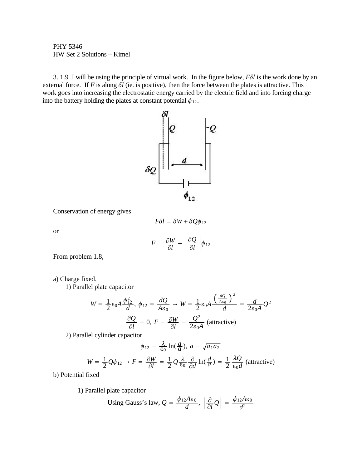PHY 5346 HW Set 2 Solutions – Kimel

3. 1.9 I will be using the principle of virtual work. In the figure below, *FNl* is the work done by an external force. If *F* is along  $\delta l$  (ie. is positive), then the force between the plates is attractive. This work goes into increasing the electrostatic energy carried by the electric field and into forcing charge into the battery holding the plates at constant potential  $\phi_{12}$ .



Conservation of energy gives

$$
F\delta l = \delta W + \delta Q\phi_{12}
$$

or

$$
F = \frac{\partial W}{\partial l} + \left| \frac{\partial Q}{\partial l} \right| \phi_{12}
$$

From problem 1.8,

## a) Charge fixed.

1) Parallel plate capacitor

$$
W = \frac{1}{2} \varepsilon_0 A \frac{\phi_{12}^2}{d}, \ \phi_{12} = \frac{dQ}{A \varepsilon_0} \to W = \frac{1}{2} \varepsilon_0 A \frac{\left(\frac{dQ}{A \varepsilon_0}\right)^2}{d} = \frac{d}{2\varepsilon_0 A} Q^2
$$

$$
\frac{\partial Q}{\partial l} = 0, \ F = \frac{\partial W}{\partial l} = \frac{Q^2}{2\varepsilon_0 A} \text{ (attractive)}
$$

2) Parallel cylinder capacitor

$$
\phi_{12} = \frac{\lambda}{\epsilon_0} \ln(\frac{d}{a}), \ a = \sqrt{a_1 a_2}
$$

$$
W = \frac{1}{2}Q\phi_{12} \rightarrow F = \frac{\partial W}{\partial l} = \frac{1}{2}Q\frac{\lambda}{\epsilon_0}\frac{\partial}{\partial d}\ln(\frac{d}{a}) = \frac{1}{2}\frac{\lambda Q}{\epsilon_0 d}
$$
 (attractive)

b) Potential fixed

1) Parallel plate capacitor

Using Gauss's law, 
$$
Q = \frac{\phi_{12} A \epsilon_0}{d}
$$
,  $\left| \frac{\partial}{\partial l} Q \right| = \frac{\phi_{12} A \epsilon_0}{d^2}$